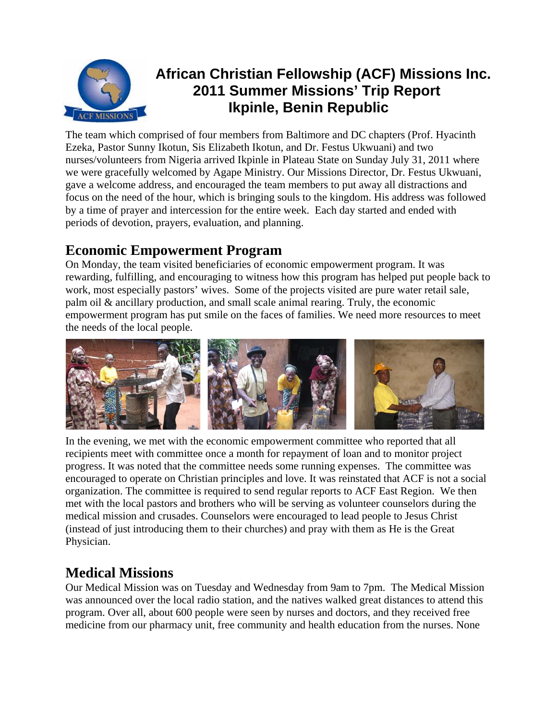

# **African Christian Fellowship (ACF) Missions Inc. 2011 Summer Missions' Trip Report Ikpinle, Benin Republic**

The team which comprised of four members from Baltimore and DC chapters (Prof. Hyacinth Ezeka, Pastor Sunny Ikotun, Sis Elizabeth Ikotun, and Dr. Festus Ukwuani) and two nurses/volunteers from Nigeria arrived Ikpinle in Plateau State on Sunday July 31, 2011 where we were gracefully welcomed by Agape Ministry. Our Missions Director, Dr. Festus Ukwuani, gave a welcome address, and encouraged the team members to put away all distractions and focus on the need of the hour, which is bringing souls to the kingdom. His address was followed by a time of prayer and intercession for the entire week. Each day started and ended with periods of devotion, prayers, evaluation, and planning.

### **Economic Empowerment Program**

On Monday, the team visited beneficiaries of economic empowerment program. It was rewarding, fulfilling, and encouraging to witness how this program has helped put people back to work, most especially pastors' wives. Some of the projects visited are pure water retail sale, palm oil & ancillary production, and small scale animal rearing. Truly, the economic empowerment program has put smile on the faces of families. We need more resources to meet the needs of the local people.



In the evening, we met with the economic empowerment committee who reported that all recipients meet with committee once a month for repayment of loan and to monitor project progress. It was noted that the committee needs some running expenses. The committee was encouraged to operate on Christian principles and love. It was reinstated that ACF is not a social organization. The committee is required to send regular reports to ACF East Region. We then met with the local pastors and brothers who will be serving as volunteer counselors during the medical mission and crusades. Counselors were encouraged to lead people to Jesus Christ (instead of just introducing them to their churches) and pray with them as He is the Great Physician.

#### **Medical Missions**

Our Medical Mission was on Tuesday and Wednesday from 9am to 7pm. The Medical Mission was announced over the local radio station, and the natives walked great distances to attend this program. Over all, about 600 people were seen by nurses and doctors, and they received free medicine from our pharmacy unit, free community and health education from the nurses. None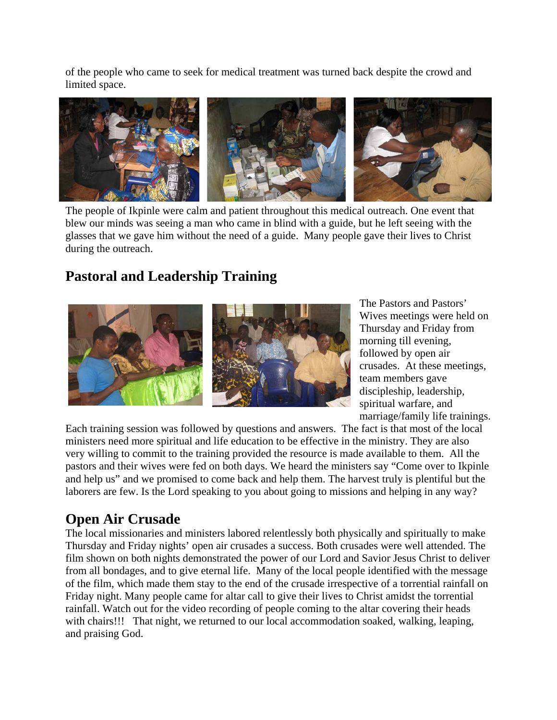of the people who came to seek for medical treatment was turned back despite the crowd and limited space.



The people of Ikpinle were calm and patient throughout this medical outreach. One event that blew our minds was seeing a man who came in blind with a guide, but he left seeing with the glasses that we gave him without the need of a guide. Many people gave their lives to Christ during the outreach.

## **Pastoral and Leadership Training**



The Pastors and Pastors' Wives meetings were held on Thursday and Friday from morning till evening, followed by open air crusades. At these meetings, team members gave discipleship, leadership, spiritual warfare, and marriage/family life trainings.

Each training session was followed by questions and answers. The fact is that most of the local ministers need more spiritual and life education to be effective in the ministry. They are also very willing to commit to the training provided the resource is made available to them. All the pastors and their wives were fed on both days. We heard the ministers say "Come over to Ikpinle and help us" and we promised to come back and help them. The harvest truly is plentiful but the laborers are few. Is the Lord speaking to you about going to missions and helping in any way?

#### **Open Air Crusade**

The local missionaries and ministers labored relentlessly both physically and spiritually to make Thursday and Friday nights' open air crusades a success. Both crusades were well attended. The film shown on both nights demonstrated the power of our Lord and Savior Jesus Christ to deliver from all bondages, and to give eternal life. Many of the local people identified with the message of the film, which made them stay to the end of the crusade irrespective of a torrential rainfall on Friday night. Many people came for altar call to give their lives to Christ amidst the torrential rainfall. Watch out for the video recording of people coming to the altar covering their heads with chairs!!! That night, we returned to our local accommodation soaked, walking, leaping, and praising God.